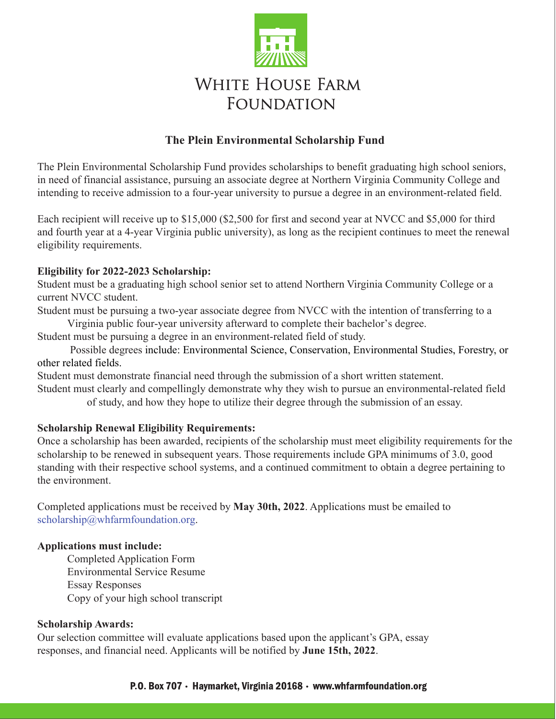

# **WHITE HOUSE FARM FOUNDATION**

### **The Plein Environmental Scholarship Fund**

The Plein Environmental Scholarship Fund provides scholarships to benefit graduating high school seniors, in need of financial assistance, pursuing an associate degree at Northern Virginia Community College and intending to receive admission to a four-year university to pursue a degree in an environment-related field.

Each recipient will receive up to \$15,000 (\$2,500 for first and second year at NVCC and \$5,000 for third and fourth year at a 4-year Virginia public university), as long as the recipient continues to meet the renewal eligibility requirements.

#### **Eligibility for 2022-2023 Scholarship:**

Student must be a graduating high school senior set to attend Northern Virginia Community College or a current NVCC student.

Student must be pursuing a two-year associate degree from NVCC with the intention of transferring to a Virginia public four-year university afterward to complete their bachelor's degree.

Student must be pursuing a degree in an environment-related field of study.

Possible degrees include: Environmental Science, Conservation, Environmental Studies, Forestry, or other related fields.

Student must demonstrate financial need through the submission of a short written statement.

Student must clearly and compellingly demonstrate why they wish to pursue an environmental-related field of study, and how they hope to utilize their degree through the submission of an essay.

#### **Scholarship Renewal Eligibility Requirements:**

Once a scholarship has been awarded, recipients of the scholarship must meet eligibility requirements for the scholarship to be renewed in subsequent years. Those requirements include GPA minimums of 3.0, good standing with their respective school systems, and a continued commitment to obtain a degree pertaining to the environment.

Completed applications must be received by **May 30th, 2022**. Applications must be emailed to scholarship@whfarmfoundation.org.

#### **Applications must include:**

Completed Application Form Environmental Service Resume Essay Responses Copy of your high school transcript

#### **Scholarship Awards:**

Our selection committee will evaluate applications based upon the applicant's GPA, essay responses, and financial need. Applicants will be notified by **June 15th, 2022**.